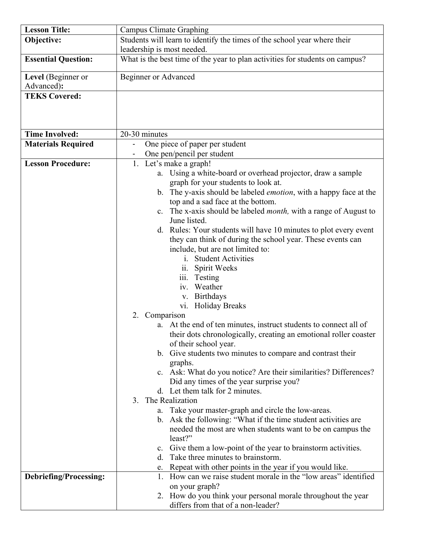| <b>Lesson Title:</b>          | Campus Climate Graphing                                                      |
|-------------------------------|------------------------------------------------------------------------------|
| Objective:                    | Students will learn to identify the times of the school year where their     |
|                               | leadership is most needed.                                                   |
| <b>Essential Question:</b>    | What is the best time of the year to plan activities for students on campus? |
|                               |                                                                              |
| Level (Beginner or            | <b>Beginner or Advanced</b>                                                  |
| Advanced):                    |                                                                              |
| <b>TEKS Covered:</b>          |                                                                              |
|                               |                                                                              |
|                               |                                                                              |
|                               |                                                                              |
| <b>Time Involved:</b>         | 20-30 minutes                                                                |
| <b>Materials Required</b>     | One piece of paper per student                                               |
|                               | One pen/pencil per student                                                   |
| <b>Lesson Procedure:</b>      | 1. Let's make a graph!                                                       |
|                               | Using a white-board or overhead projector, draw a sample<br>a.               |
|                               | graph for your students to look at.                                          |
|                               | b. The y-axis should be labeled emotion, with a happy face at the            |
|                               | top and a sad face at the bottom.                                            |
|                               | c. The x-axis should be labeled <i>month</i> , with a range of August to     |
|                               | June listed.                                                                 |
|                               | d. Rules: Your students will have 10 minutes to plot every event             |
|                               | they can think of during the school year. These events can                   |
|                               | include, but are not limited to:                                             |
|                               | <i>i.</i> Student Activities                                                 |
|                               | ii. Spirit Weeks                                                             |
|                               | iii. Testing                                                                 |
|                               | Weather<br>1V.                                                               |
|                               | <b>Birthdays</b><br>V.                                                       |
|                               | vi. Holiday Breaks                                                           |
|                               | 2. Comparison                                                                |
|                               | a. At the end of ten minutes, instruct students to connect all of            |
|                               | their dots chronologically, creating an emotional roller coaster             |
|                               | of their school year.                                                        |
|                               | b. Give students two minutes to compare and contrast their                   |
|                               | graphs.                                                                      |
|                               | c. Ask: What do you notice? Are their similarities? Differences?             |
|                               | Did any times of the year surprise you?                                      |
|                               | d. Let them talk for 2 minutes.                                              |
|                               | The Realization<br>3.                                                        |
|                               | a. Take your master-graph and circle the low-areas.                          |
|                               | b. Ask the following: "What if the time student activities are               |
|                               | needed the most are when students want to be on campus the<br>least?"        |
|                               | c. Give them a low-point of the year to brainstorm activities.               |
|                               | d. Take three minutes to brainstorm.                                         |
|                               | e. Repeat with other points in the year if you would like.                   |
| <b>Debriefing/Processing:</b> | 1. How can we raise student morale in the "low areas" identified             |
|                               | on your graph?                                                               |
|                               | 2. How do you think your personal morale throughout the year                 |
|                               | differs from that of a non-leader?                                           |